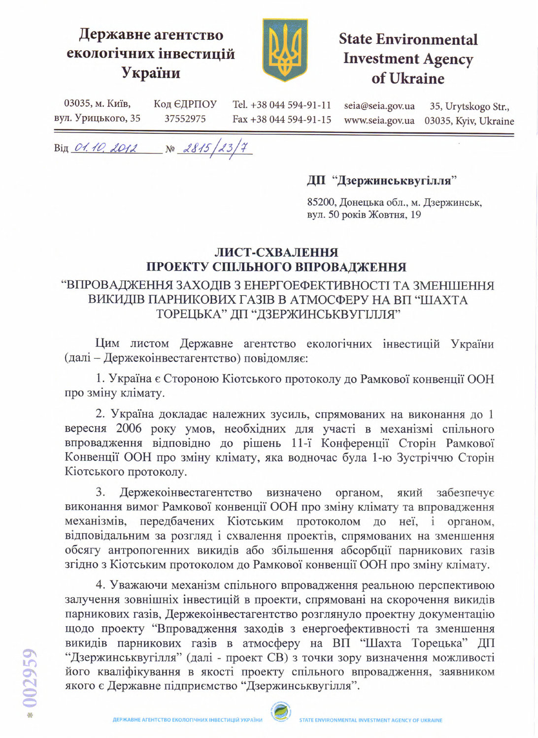## Державне агентство екологічних інвестицій України



# **State Environmental Investment Agency** of Ukraine

03035, м. Київ, Код ЄДРПОУ Tel. +38 044 594-91-11 seia@seia.gov.ua 35, Urytskogo Str., вул. Урицького, 35 37552975 Fax +38 044 594-91-15 www.seia.gov.ua 03035, Kyiv, Ukraine

 $Big_1$  O1.10, 2012 No 2815/23/7

#### ДП "Дзержинськвугілля"

85200, Донецька обл., м. Дзержинськ, вул. 50 років Жовтня, 19

#### ЛИСТ-СХВАЛЕННЯ ПРОЕКТУ СПІЛЬНОГО ВПРОВАДЖЕННЯ

### "ВПРОВАДЖЕННЯ ЗАХОДІВ З ЕНЕРГОЕФЕКТИВНОСТІ ТА ЗМЕНШЕННЯ ВИКИДІВ ПАРНИКОВИХ ГАЗІВ В АТМОСФЕРУ НА ВП "ШАХТА ТОРЕЦЬКА" ДП "ДЗЕРЖИНСЬКВУГІЛЛЯ"

Цим листом Державне агентство екологічних інвестицій України (далі - Держекоінвестагентство) повідомляє:

1. Україна є Стороною Кіотського протоколу до Рамкової конвенції ООН про зміну клімату.

2. Україна докладає належних зусиль, спрямованих на виконання до 1 вересня 2006 року умов, необхідних для участі в механізмі спільного впровадження відповідно до рішень 11-ї Конференції Сторін Рамкової Конвенції ООН про зміну клімату, яка водночас була 1-ю Зустріччю Сторін Кіотського протоколу.

Держекоінвестагентство  $3.$ визначено органом, забезпечує який виконання вимог Рамкової конвенції ООН про зміну клімату та впровадження механізмів, передбачених Кіотським протоколом до неї, і органом, відповідальним за розгляд і схвалення проектів, спрямованих на зменшення обсягу антропогенних викидів або збільшення абсорбції парникових газів згідно з Кіотським протоколом до Рамкової конвенції ООН про зміну клімату.

4. Уважаючи механізм спільного впровадження реальною перспективою залучення зовнішніх інвестицій в проекти, спрямовані на скорочення викидів парникових газів, Держекоінвестагентство розглянуло проектну документацію щодо проекту "Впровадження заходів з енергоефективності та зменшення викидів парникових газів в атмосферу на ВП "Шахта Торецька" ДП "Дзержинськвугілля" (далі - проект СВ) з точки зору визначення можливості його кваліфікування в якості проекту спільного впровадження, заявником якого є Державне підприємство "Дзержинськвугілля".